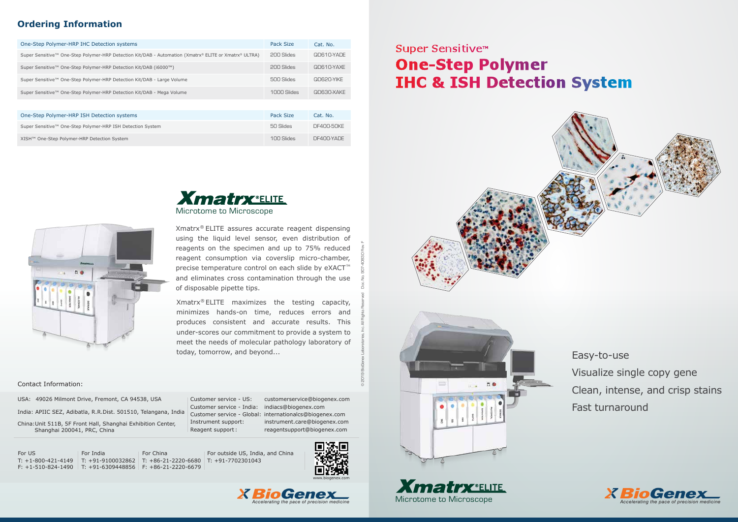Easy-to-use Visualize single copy gene Clean, intense, and crisp stains Fast turnaround



| One-Step Polymer-HRP IHC Detection systems                                                            | Pack Size   | Cat. No.   |
|-------------------------------------------------------------------------------------------------------|-------------|------------|
| Super Sensitive™ One-Step Polymer-HRP Detection Kit/DAB - Automation (Xmatrx® ELITE or Xmatrx® ULTRA) | 200 Slides  | QD610-YADE |
| Super Sensitive™ One-Step Polymer-HRP Detection Kit/DAB (i6000™)                                      | 200 Slides  | QD610-YAXE |
| Super Sensitive™ One-Step Polymer-HRP Detection Kit/DAB - Large Volume                                | 500 Slides  | QD620-YIKE |
| Super Sensitive™ One-Step Polymer-HRP Detection Kit/DAB - Mega Volume                                 | 1000 Slides | QD630-XAKE |
|                                                                                                       |             |            |
| One-Step Polymer-HRP ISH Detection systems                                                            | Pack Size   | Cat. No.   |
| Super Sensitive™ One-Step Polymer-HRP ISH Detection System                                            | 50 Slides   | DF400-50KF |

# Super Sensitive<sup>™</sup> **One-Step Polymer IHC & ISH Detection System**







# **Xmatrx** ELITE Microtome to Microscope

XISH™ One-Step Polymer-HRP Detection System

100 Slides

DF400-YADE

## **Ordering Information**

Customer service - India: indiacs@biogenex.com Customer service - Global: internationalcs@biogenex.com Instrument support: instrument.care@biogenex.com Reagent support : reagentsupport@biogenex.com

Xmatrx® ELITE assures accurate reagent dispensing using the liquid level sensor, even distribution of reagents on the specimen and up to 75% reduced reagent consumption via coverslip micro-chamber, precise temperature control on each slide by eXACT<sup>™</sup> and eliminates cross contamination through the use of disposable pipette tips.

Xmatrx® ELITE maximizes the testing capacity, minimizes hands-on time, reduces errors and produces consistent and accurate results. This under-scores our commitment to provide a system to meet the needs of molecular pathology laboratory of today, tomorrow, and beyond...

© 2019 BioGenex Laboratories, Inc. All Rights Reserved Doc. No. 907-4083.0 Rev. F







USA: 49026 Milmont Drive, Fremont, CA 94538, USA

India: APIIC SEZ, Adibatla, R.R.Dist. 501510, Telangana, India

China:Unit 511B, 5F Front Hall, Shanghai Exhibition Center, Shanghai 200041, PRC, China

Customer service - US: customerservice@biogenex.com

For US For India

T: +1-800-421-4149 T: +91-9100032862 T: +86-21-2220-6680 T: +91-7702301043 F: +1-510-824-1490 T: +91-6309448856 F: +86-21-2220-6679 For China

For outside US, India, and China

#### Contact Information: